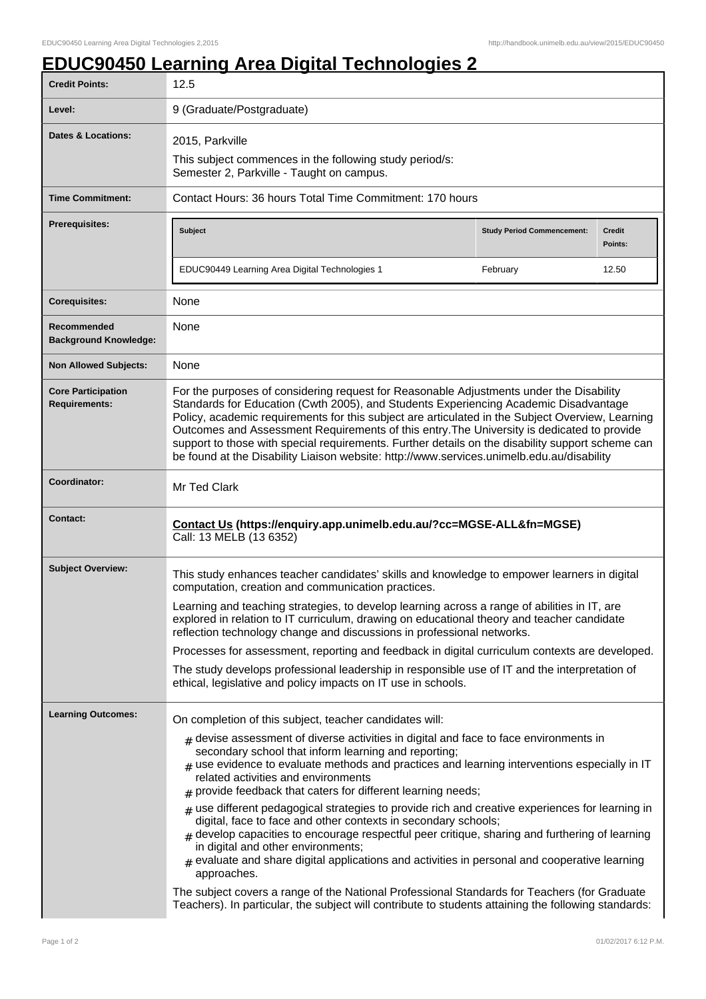## **EDUC90450 Learning Area Digital Technologies 2**

| <b>Credit Points:</b>                             | 12.5                                                                                                                                                                                                                                                                                                                                                                                                                                                                                                                                                                                                                                                                                                                                                                                                                                                                                                                                                                                                                                                                                   |                                   |                          |
|---------------------------------------------------|----------------------------------------------------------------------------------------------------------------------------------------------------------------------------------------------------------------------------------------------------------------------------------------------------------------------------------------------------------------------------------------------------------------------------------------------------------------------------------------------------------------------------------------------------------------------------------------------------------------------------------------------------------------------------------------------------------------------------------------------------------------------------------------------------------------------------------------------------------------------------------------------------------------------------------------------------------------------------------------------------------------------------------------------------------------------------------------|-----------------------------------|--------------------------|
| Level:                                            | 9 (Graduate/Postgraduate)                                                                                                                                                                                                                                                                                                                                                                                                                                                                                                                                                                                                                                                                                                                                                                                                                                                                                                                                                                                                                                                              |                                   |                          |
| <b>Dates &amp; Locations:</b>                     | 2015, Parkville<br>This subject commences in the following study period/s:<br>Semester 2, Parkville - Taught on campus.                                                                                                                                                                                                                                                                                                                                                                                                                                                                                                                                                                                                                                                                                                                                                                                                                                                                                                                                                                |                                   |                          |
| <b>Time Commitment:</b>                           | Contact Hours: 36 hours Total Time Commitment: 170 hours                                                                                                                                                                                                                                                                                                                                                                                                                                                                                                                                                                                                                                                                                                                                                                                                                                                                                                                                                                                                                               |                                   |                          |
| Prerequisites:                                    | <b>Subject</b>                                                                                                                                                                                                                                                                                                                                                                                                                                                                                                                                                                                                                                                                                                                                                                                                                                                                                                                                                                                                                                                                         | <b>Study Period Commencement:</b> | <b>Credit</b><br>Points: |
|                                                   | EDUC90449 Learning Area Digital Technologies 1                                                                                                                                                                                                                                                                                                                                                                                                                                                                                                                                                                                                                                                                                                                                                                                                                                                                                                                                                                                                                                         | February                          | 12.50                    |
| <b>Corequisites:</b>                              | None                                                                                                                                                                                                                                                                                                                                                                                                                                                                                                                                                                                                                                                                                                                                                                                                                                                                                                                                                                                                                                                                                   |                                   |                          |
| Recommended<br><b>Background Knowledge:</b>       | None                                                                                                                                                                                                                                                                                                                                                                                                                                                                                                                                                                                                                                                                                                                                                                                                                                                                                                                                                                                                                                                                                   |                                   |                          |
| <b>Non Allowed Subjects:</b>                      | None                                                                                                                                                                                                                                                                                                                                                                                                                                                                                                                                                                                                                                                                                                                                                                                                                                                                                                                                                                                                                                                                                   |                                   |                          |
| <b>Core Participation</b><br><b>Requirements:</b> | For the purposes of considering request for Reasonable Adjustments under the Disability<br>Standards for Education (Cwth 2005), and Students Experiencing Academic Disadvantage<br>Policy, academic requirements for this subject are articulated in the Subject Overview, Learning<br>Outcomes and Assessment Requirements of this entry. The University is dedicated to provide<br>support to those with special requirements. Further details on the disability support scheme can<br>be found at the Disability Liaison website: http://www.services.unimelb.edu.au/disability                                                                                                                                                                                                                                                                                                                                                                                                                                                                                                     |                                   |                          |
| Coordinator:                                      | Mr Ted Clark                                                                                                                                                                                                                                                                                                                                                                                                                                                                                                                                                                                                                                                                                                                                                                                                                                                                                                                                                                                                                                                                           |                                   |                          |
| <b>Contact:</b>                                   | Contact Us (https://enquiry.app.unimelb.edu.au/?cc=MGSE-ALL&fn=MGSE)<br>Call: 13 MELB (13 6352)                                                                                                                                                                                                                                                                                                                                                                                                                                                                                                                                                                                                                                                                                                                                                                                                                                                                                                                                                                                        |                                   |                          |
| <b>Subject Overview:</b>                          | This study enhances teacher candidates' skills and knowledge to empower learners in digital<br>computation, creation and communication practices.<br>Learning and teaching strategies, to develop learning across a range of abilities in IT, are<br>explored in relation to IT curriculum, drawing on educational theory and teacher candidate<br>reflection technology change and discussions in professional networks.<br>Processes for assessment, reporting and feedback in digital curriculum contexts are developed.<br>The study develops professional leadership in responsible use of IT and the interpretation of<br>ethical, legislative and policy impacts on IT use in schools.                                                                                                                                                                                                                                                                                                                                                                                          |                                   |                          |
| <b>Learning Outcomes:</b>                         | On completion of this subject, teacher candidates will:<br>$_{\#}$ devise assessment of diverse activities in digital and face to face environments in<br>secondary school that inform learning and reporting;<br>$_{\text{\#}}$ use evidence to evaluate methods and practices and learning interventions especially in IT<br>related activities and environments<br>provide feedback that caters for different learning needs;<br>$_{\text{\#}}$ use different pedagogical strategies to provide rich and creative experiences for learning in<br>digital, face to face and other contexts in secondary schools;<br>$*$ develop capacities to encourage respectful peer critique, sharing and furthering of learning<br>in digital and other environments;<br>$#$ evaluate and share digital applications and activities in personal and cooperative learning<br>approaches.<br>The subject covers a range of the National Professional Standards for Teachers (for Graduate<br>Teachers). In particular, the subject will contribute to students attaining the following standards: |                                   |                          |